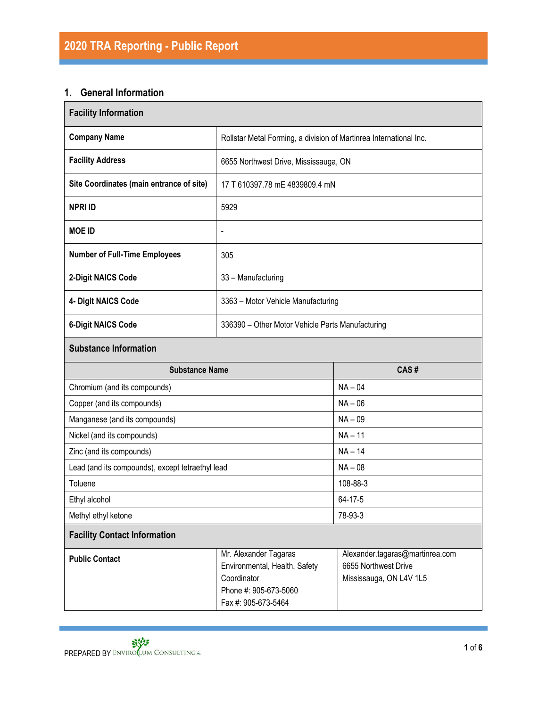# **1. General Information**

| <b>Facility Information</b>                      |                                                                                                                       |                                                                                    |  |  |
|--------------------------------------------------|-----------------------------------------------------------------------------------------------------------------------|------------------------------------------------------------------------------------|--|--|
| <b>Company Name</b>                              | Rollstar Metal Forming, a division of Martinrea International Inc.                                                    |                                                                                    |  |  |
| <b>Facility Address</b>                          | 6655 Northwest Drive, Mississauga, ON                                                                                 |                                                                                    |  |  |
| Site Coordinates (main entrance of site)         | 17 T 610397.78 mE 4839809.4 mN                                                                                        |                                                                                    |  |  |
| <b>NPRI ID</b>                                   | 5929                                                                                                                  |                                                                                    |  |  |
| <b>MOE ID</b>                                    | $\blacksquare$                                                                                                        |                                                                                    |  |  |
| <b>Number of Full-Time Employees</b>             | 305                                                                                                                   |                                                                                    |  |  |
| 2-Digit NAICS Code                               | 33 - Manufacturing                                                                                                    |                                                                                    |  |  |
| 4- Digit NAICS Code                              | 3363 - Motor Vehicle Manufacturing                                                                                    |                                                                                    |  |  |
| <b>6-Digit NAICS Code</b>                        | 336390 - Other Motor Vehicle Parts Manufacturing                                                                      |                                                                                    |  |  |
| <b>Substance Information</b>                     |                                                                                                                       |                                                                                    |  |  |
| <b>Substance Name</b>                            |                                                                                                                       | CAS#                                                                               |  |  |
| Chromium (and its compounds)                     |                                                                                                                       | $NA - 04$                                                                          |  |  |
| Copper (and its compounds)                       |                                                                                                                       | $NA - 06$                                                                          |  |  |
| Manganese (and its compounds)                    |                                                                                                                       | $NA - 09$                                                                          |  |  |
| Nickel (and its compounds)                       |                                                                                                                       | $NA - 11$                                                                          |  |  |
| Zinc (and its compounds)                         |                                                                                                                       | $NA - 14$                                                                          |  |  |
| Lead (and its compounds), except tetraethyl lead |                                                                                                                       | $NA - 08$                                                                          |  |  |
| Toluene                                          |                                                                                                                       | 108-88-3                                                                           |  |  |
| Ethyl alcohol                                    |                                                                                                                       | 64-17-5                                                                            |  |  |
| Methyl ethyl ketone                              |                                                                                                                       | 78-93-3                                                                            |  |  |
| <b>Facility Contact Information</b>              |                                                                                                                       |                                                                                    |  |  |
| <b>Public Contact</b>                            | Mr. Alexander Tagaras<br>Environmental, Health, Safety<br>Coordinator<br>Phone #: 905-673-5060<br>Fax #: 905-673-5464 | Alexander.tagaras@martinrea.com<br>6655 Northwest Drive<br>Mississauga, ON L4V 1L5 |  |  |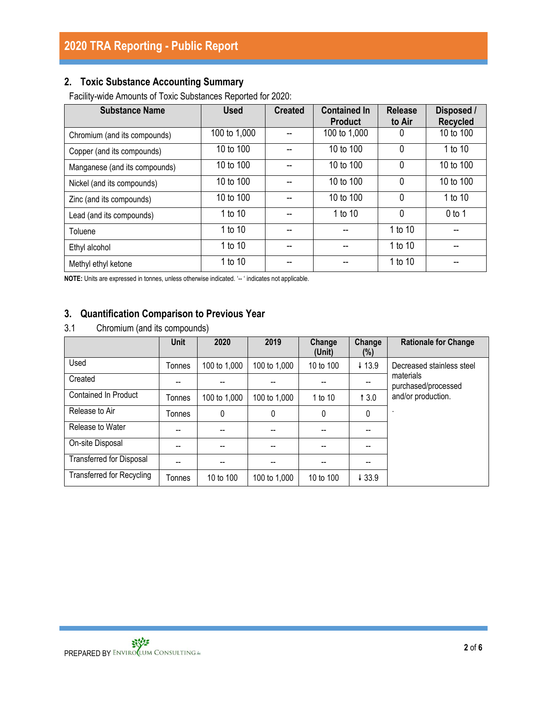# **2. Toxic Substance Accounting Summary**

Facility-wide Amounts of Toxic Substances Reported for 2020:

| <b>Substance Name</b>         | <b>Used</b>  | <b>Created</b> | <b>Contained In</b><br><b>Product</b> | <b>Release</b><br>to Air | Disposed /<br><b>Recycled</b> |
|-------------------------------|--------------|----------------|---------------------------------------|--------------------------|-------------------------------|
| Chromium (and its compounds)  | 100 to 1,000 |                | 100 to 1,000                          | 0                        | 10 to 100                     |
| Copper (and its compounds)    | 10 to 100    |                | 10 to 100                             | $\mathbf{0}$             | 1 to 10                       |
| Manganese (and its compounds) | 10 to 100    |                | 10 to 100                             | $\mathbf 0$              | 10 to 100                     |
| Nickel (and its compounds)    | 10 to 100    |                | 10 to 100                             | $\mathbf{0}$             | 10 to 100                     |
| Zinc (and its compounds)      | 10 to 100    |                | 10 to 100                             | $\mathbf{0}$             | 1 to 10                       |
| Lead (and its compounds)      | 1 to 10      |                | 1 to 10                               | $\mathbf 0$              | $0$ to 1                      |
| Toluene                       | 1 to 10      |                |                                       | 1 to 10                  | --                            |
| Ethyl alcohol                 | 1 to 10      | --             |                                       | 1 to 10                  | --                            |
| Methyl ethyl ketone           | 1 to 10      |                |                                       | 1 to 10                  |                               |

**NOTE:** Units are expressed in tonnes, unless otherwise indicated. '-- ' indicates not applicable.

## **3. Quantification Comparison to Previous Year**

3.1 Chromium (and its compounds)

|                                  | Unit   | 2020         | 2019         | Change<br>(Unit) | Change<br>(%) | <b>Rationale for Change</b>      |
|----------------------------------|--------|--------------|--------------|------------------|---------------|----------------------------------|
| Used                             | Tonnes | 100 to 1,000 | 100 to 1,000 | 10 to 100        | $+13.9$       | Decreased stainless steel        |
| Created                          | --     |              |              |                  |               | materials<br>purchased/processed |
| Contained In Product             | Tonnes | 100 to 1,000 | 100 to 1,000 | 1 to 10          | 13.0          | and/or production.               |
| Release to Air                   | Tonnes | 0            | 0            | 0                | 0             | ٠                                |
| Release to Water                 | --     | --           |              |                  |               |                                  |
| On-site Disposal                 | --     |              |              |                  |               |                                  |
| <b>Transferred for Disposal</b>  |        |              |              |                  |               |                                  |
| <b>Transferred for Recycling</b> | Tonnes | 10 to 100    | 100 to 1,000 | 10 to 100        | ↓33.9         |                                  |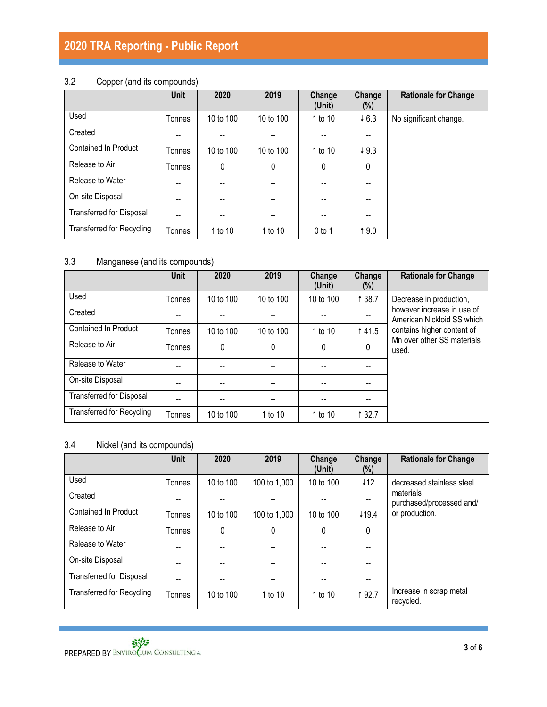# **2020 TRA Reporting - Public Report**

# 3.2 Copper (and its compounds)

|                                  | Unit   | 2020      | 2019      | Change<br>(Unit)         | Change<br>(%) | <b>Rationale for Change</b> |
|----------------------------------|--------|-----------|-----------|--------------------------|---------------|-----------------------------|
| Used                             | Tonnes | 10 to 100 | 10 to 100 | 1 to 10                  | $+6.3$        | No significant change.      |
| Created                          | --     | --        | $-$       |                          | --            |                             |
| <b>Contained In Product</b>      | Tonnes | 10 to 100 | 10 to 100 | 1 to 10                  | 49.3          |                             |
| Release to Air                   | Tonnes | 0         | 0         | $\mathbf{0}$             | 0             |                             |
| Release to Water                 | --     | --        | --        | --                       | --            |                             |
| On-site Disposal                 | --     | --        | --        | --                       | --            |                             |
| <b>Transferred for Disposal</b>  | --     | $- -$     | --        | $\overline{\phantom{a}}$ | --            |                             |
| <b>Transferred for Recycling</b> | Tonnes | 1 to 10   | 1 to 10   | $0$ to 1                 | 19.0          |                             |

# 3.3 Manganese (and its compounds)

|                                  | <b>Unit</b> | 2020      | 2019                                  | Change<br>(Unit) | Change<br>(%) | <b>Rationale for Change</b>                              |
|----------------------------------|-------------|-----------|---------------------------------------|------------------|---------------|----------------------------------------------------------|
| Used                             | Tonnes      | 10 to 100 | 10 to 100                             | 10 to 100        | <b>138.7</b>  | Decrease in production,                                  |
| Created                          |             |           |                                       |                  |               | however increase in use of<br>American Nickloid SS which |
| <b>Contained In Product</b>      | Tonnes      | 10 to 100 | 10 to 100                             | 1 to 10          | <b>141.5</b>  | contains higher content of                               |
| Release to Air                   | Tonnes      | 0         | $\mathbf{0}$                          | 0                | 0             | Mn over other SS materials<br>used.                      |
| Release to Water                 |             |           |                                       |                  |               |                                                          |
| On-site Disposal                 |             |           | --                                    |                  |               |                                                          |
| <b>Transferred for Disposal</b>  |             |           | $\hspace{0.05cm}$ – $\hspace{0.05cm}$ |                  |               |                                                          |
| <b>Transferred for Recycling</b> | Tonnes      | 10 to 100 | 1 to 10                               | 1 to 10          | 1 3 2.7       |                                                          |

# 3.4 Nickel (and its compounds)

|                                  | <b>Unit</b> | 2020      | 2019         | Change<br>(Unit) | Change<br>$(\%)$ | <b>Rationale for Change</b>           |
|----------------------------------|-------------|-----------|--------------|------------------|------------------|---------------------------------------|
| Used                             | Tonnes      | 10 to 100 | 100 to 1,000 | 10 to 100        | 112              | decreased stainless steel             |
| Created                          |             |           |              |                  |                  | materials<br>purchased/processed and/ |
| <b>Contained In Product</b>      | Tonnes      | 10 to 100 | 100 to 1,000 | 10 to 100        | 119.4            | or production.                        |
| Release to Air                   | Tonnes      | 0         | 0            | 0                | $\mathbf{0}$     |                                       |
| Release to Water                 | --          |           |              |                  |                  |                                       |
| On-site Disposal                 |             |           |              |                  |                  |                                       |
| <b>Transferred for Disposal</b>  | --          | --        |              |                  |                  |                                       |
| <b>Transferred for Recycling</b> | Tonnes      | 10 to 100 | 1 to 10      | 1 to 10          | <b>192.7</b>     | Increase in scrap metal<br>recycled.  |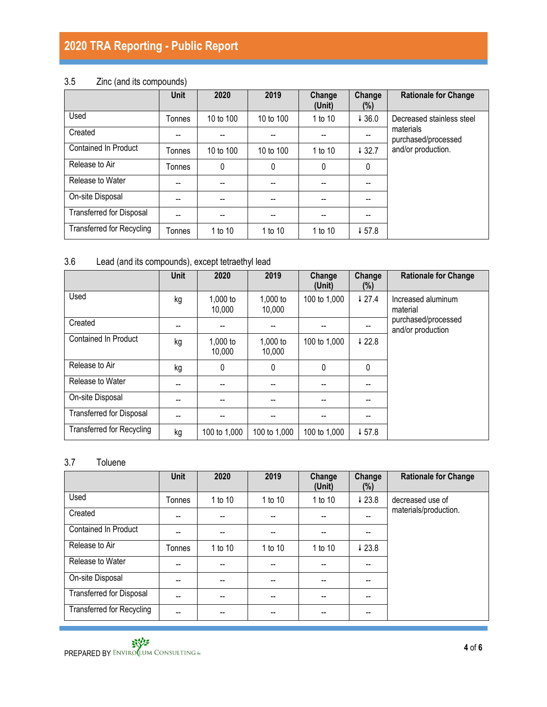# **2020 TRA Reporting - Public Report**

# 3.5 Zinc (and its compounds)

|                                  | <b>Unit</b> | 2020      | 2019      | Change<br>(Unit) | Change<br>(%)     | <b>Rationale for Change</b>      |
|----------------------------------|-------------|-----------|-----------|------------------|-------------------|----------------------------------|
| Used                             | Tonnes      | 10 to 100 | 10 to 100 | 1 to 10          | 436.0             | Decreased stainless steel        |
| Created                          |             |           |           |                  |                   | materials<br>purchased/processed |
| <b>Contained In Product</b>      | Tonnes      | 10 to 100 | 10 to 100 | 1 to 10          | $\downarrow$ 32.7 | and/or production.               |
| Release to Air                   | Tonnes      | 0         | 0         | 0                | 0                 |                                  |
| Release to Water                 | --          | --        |           | --               |                   |                                  |
| On-site Disposal                 | --          | --        | --        | --               |                   |                                  |
| <b>Transferred for Disposal</b>  | --          | --        | --        | --               |                   |                                  |
| <b>Transferred for Recycling</b> | Tonnes      | 1 to 10   | 1 to 10   | 1 to 10          | $\downarrow$ 57.8 |                                  |

# 3.6 Lead (and its compounds), except tetraethyl lead

|                                  | <b>Unit</b> | 2020               | 2019               | Change<br>(Unit) | Change<br>(%)     | <b>Rationale for Change</b>              |
|----------------------------------|-------------|--------------------|--------------------|------------------|-------------------|------------------------------------------|
| Used                             | kg          | 1,000 to<br>10,000 | 1,000 to<br>10,000 | 100 to 1,000     | 427.4             | Increased aluminum<br>material           |
| Created                          | --          |                    |                    |                  |                   | purchased/processed<br>and/or production |
| Contained In Product             | kg          | 1,000 to<br>10,000 | 1,000 to<br>10,000 | 100 to 1,000     | $\downarrow$ 22.8 |                                          |
| Release to Air                   | kg          | 0                  | 0                  | 0                | 0                 |                                          |
| Release to Water                 |             |                    |                    |                  |                   |                                          |
| On-site Disposal                 |             |                    |                    |                  |                   |                                          |
| <b>Transferred for Disposal</b>  |             |                    |                    |                  |                   |                                          |
| <b>Transferred for Recycling</b> | kg          | 100 to 1,000       | 100 to 1,000       | 100 to 1,000     | 457.8             |                                          |

### 3.7 Toluene

|                                  | <b>Unit</b> | 2020    | 2019    | Change<br>(Unit) | Change<br>$(\%)$         | <b>Rationale for Change</b> |
|----------------------------------|-------------|---------|---------|------------------|--------------------------|-----------------------------|
| Used                             | Tonnes      | 1 to 10 | 1 to 10 | 1 to 10          | 423.8                    | decreased use of            |
| Created                          | --          | --      | --      |                  | $\overline{\phantom{a}}$ | materials/production.       |
| Contained In Product             | --          | --      | $-$     | --               |                          |                             |
| Release to Air                   | Tonnes      | 1 to 10 | 1 to 10 | 1 to 10          | 423.8                    |                             |
| Release to Water                 | --          | --      |         |                  |                          |                             |
| On-site Disposal                 | --          | --      |         |                  |                          |                             |
| <b>Transferred for Disposal</b>  | --          | --      |         |                  |                          |                             |
| <b>Transferred for Recycling</b> | --          | --      |         |                  |                          |                             |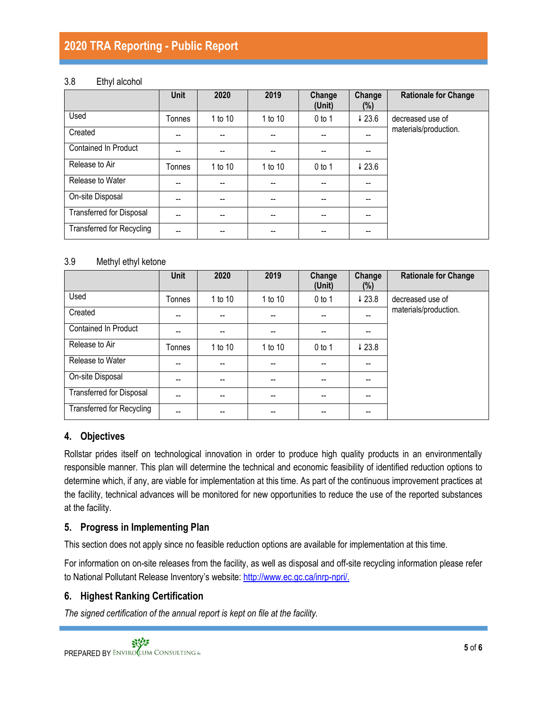# **2020 TRA Reporting - Public Report**

#### 3.8 Ethyl alcohol

|                                  | Unit          | 2020    | 2019    | Change<br>(Unit) | Change<br>(%) | <b>Rationale for Change</b> |
|----------------------------------|---------------|---------|---------|------------------|---------------|-----------------------------|
| Used                             | Tonnes        | 1 to 10 | 1 to 10 | $0$ to 1         | 423.6         | decreased use of            |
| Created                          | --            |         |         |                  |               | materials/production.       |
| <b>Contained In Product</b>      | --            |         |         |                  |               |                             |
| Release to Air                   | <b>Tonnes</b> | 1 to 10 | 1 to 10 | $0$ to 1         | 423.6         |                             |
| Release to Water                 | --            | --      |         |                  |               |                             |
| On-site Disposal                 | --            | --      | --      | --               | --            |                             |
| <b>Transferred for Disposal</b>  | --            | --      | --      | --               | --            |                             |
| <b>Transferred for Recycling</b> | --            | --      | --      | --               | --            |                             |

#### 3.9 Methyl ethyl ketone

|                                  | <b>Unit</b> | 2020    | 2019    | Change<br>(Unit) | Change<br>$(\%)$ | <b>Rationale for Change</b> |
|----------------------------------|-------------|---------|---------|------------------|------------------|-----------------------------|
| Used                             | Tonnes      | 1 to 10 | 1 to 10 | $0$ to 1         | 423.8            | decreased use of            |
| Created                          | --          |         |         |                  | --               | materials/production.       |
| <b>Contained In Product</b>      |             |         |         |                  |                  |                             |
| Release to Air                   | Tonnes      | 1 to 10 | 1 to 10 | $0$ to 1         | 423.8            |                             |
| Release to Water                 | --          |         |         |                  |                  |                             |
| On-site Disposal                 |             |         |         |                  |                  |                             |
| <b>Transferred for Disposal</b>  |             |         |         |                  |                  |                             |
| <b>Transferred for Recycling</b> |             |         |         |                  |                  |                             |

## **4. Objectives**

Rollstar prides itself on technological innovation in order to produce high quality products in an environmentally responsible manner. This plan will determine the technical and economic feasibility of identified reduction options to determine which, if any, are viable for implementation at this time. As part of the continuous improvement practices at the facility, technical advances will be monitored for new opportunities to reduce the use of the reported substances at the facility.

#### **5. Progress in Implementing Plan**

This section does not apply since no feasible reduction options are available for implementation at this time.

For information on on-site releases from the facility, as well as disposal and off-site recycling information please refer to National Pollutant Release Inventory's website: [http://www.ec.gc.ca/inrp-npri/.](http://www.ec.gc.ca/inrp-npri/)

## **6. Highest Ranking Certification**

*The signed certification of the annual report is kept on file at the facility.*